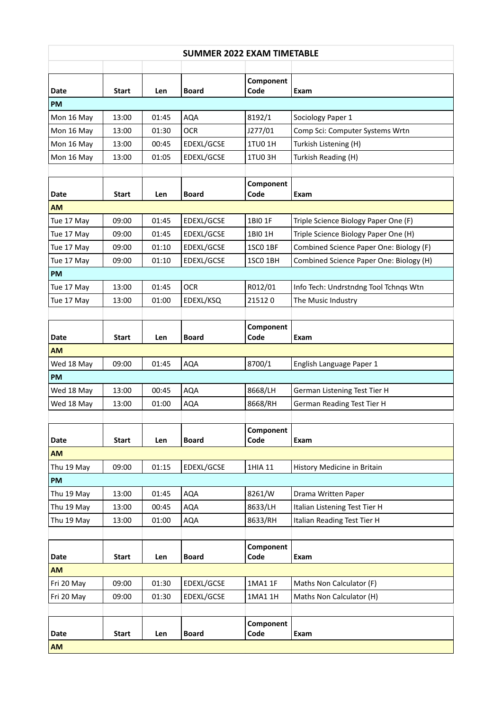## **SUMMER 2022 EXAM TIMETABLE**

|             |              |       |              | Component         |                                         |
|-------------|--------------|-------|--------------|-------------------|-----------------------------------------|
| <b>Date</b> | Start        | Len   | <b>Board</b> | Code              | Exam                                    |
| <b>PM</b>   |              |       |              |                   |                                         |
| Mon 16 May  | 13:00        | 01:45 | <b>AQA</b>   | 8192/1            | Sociology Paper 1                       |
| Mon 16 May  | 13:00        | 01:30 | <b>OCR</b>   | J277/01           | Comp Sci: Computer Systems Wrtn         |
| Mon 16 May  | 13:00        | 00:45 | EDEXL/GCSE   | 1TU0 1H           | Turkish Listening (H)                   |
| Mon 16 May  | 13:00        | 01:05 | EDEXL/GCSE   | <b>1TU03H</b>     | Turkish Reading (H)                     |
|             |              |       |              |                   |                                         |
| Date        | Start        | Len   | <b>Board</b> | Component<br>Code | Exam                                    |
| <b>AM</b>   |              |       |              |                   |                                         |
| Tue 17 May  | 09:00        | 01:45 | EDEXL/GCSE   | 1BI0 1F           | Triple Science Biology Paper One (F)    |
| Tue 17 May  | 09:00        | 01:45 | EDEXL/GCSE   | 1BI0 1H           | Triple Science Biology Paper One (H)    |
| Tue 17 May  | 09:00        | 01:10 | EDEXL/GCSE   | 1SCO 1BF          | Combined Science Paper One: Biology (F) |
| Tue 17 May  | 09:00        | 01:10 | EDEXL/GCSE   | 1SCO 1BH          | Combined Science Paper One: Biology (H) |
| <b>PM</b>   |              |       |              |                   |                                         |
| Tue 17 May  | 13:00        | 01:45 | <b>OCR</b>   | R012/01           | Info Tech: Undrstndng Tool Tchnqs Wtn   |
| Tue 17 May  | 13:00        | 01:00 | EDEXL/KSQ    | 215120            | The Music Industry                      |
|             |              |       |              |                   |                                         |
|             |              |       |              | Component         |                                         |
| Date        | Start        | Len   | <b>Board</b> | Code              | Exam                                    |
| <b>AM</b>   |              |       |              |                   |                                         |
| Wed 18 May  | 09:00        | 01:45 | <b>AQA</b>   | 8700/1            | English Language Paper 1                |
| <b>PM</b>   |              |       |              |                   |                                         |
| Wed 18 May  | 13:00        | 00:45 | <b>AQA</b>   | 8668/LH           | German Listening Test Tier H            |
| Wed 18 May  | 13:00        | 01:00 | <b>AQA</b>   | 8668/RH           | German Reading Test Tier H              |
|             |              |       |              |                   |                                         |
|             |              |       |              | Component         |                                         |
| Date        | <b>Start</b> | Len   | <b>Board</b> | Code              | Exam                                    |
| <b>AM</b>   |              |       |              |                   |                                         |
| Thu 19 May  | 09:00        | 01:15 | EDEXL/GCSE   | 1HIA 11           | History Medicine in Britain             |
| PM          |              |       |              |                   |                                         |
| Thu 19 May  | 13:00        | 01:45 | <b>AQA</b>   | 8261/W            | Drama Written Paper                     |
| Thu 19 May  | 13:00        | 00:45 | <b>AQA</b>   | 8633/LH           | Italian Listening Test Tier H           |
| Thu 19 May  | 13:00        | 01:00 | AQA          | 8633/RH           | Italian Reading Test Tier H             |
|             |              |       |              |                   |                                         |
| Date        | <b>Start</b> | Len   | <b>Board</b> | Component<br>Code | Exam                                    |
| <b>AM</b>   |              |       |              |                   |                                         |
| Fri 20 May  | 09:00        | 01:30 | EDEXL/GCSE   | 1MA1 1F           | Maths Non Calculator (F)                |
| Fri 20 May  | 09:00        | 01:30 | EDEXL/GCSE   | 1MA1 1H           | Maths Non Calculator (H)                |
|             |              |       |              |                   |                                         |
|             |              |       |              | Component         |                                         |
| Date        | <b>Start</b> | Len   | <b>Board</b> | Code              | Exam                                    |
| <b>AM</b>   |              |       |              |                   |                                         |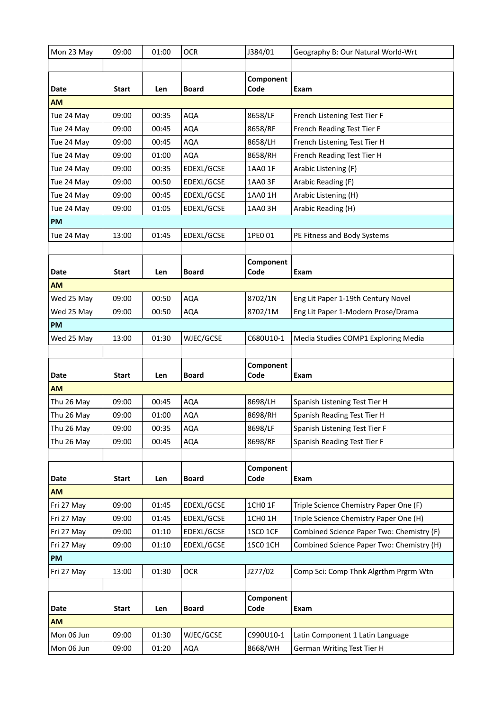| Mon 23 May | 09:00        | 01:00 | <b>OCR</b>   | J384/01           | Geography B: Our Natural World-Wrt        |
|------------|--------------|-------|--------------|-------------------|-------------------------------------------|
|            |              |       |              |                   |                                           |
| Date       | <b>Start</b> | Len   | <b>Board</b> | Component<br>Code | Exam                                      |
| <b>AM</b>  |              |       |              |                   |                                           |
| Tue 24 May | 09:00        | 00:35 | <b>AQA</b>   | 8658/LF           | French Listening Test Tier F              |
| Tue 24 May | 09:00        | 00:45 | <b>AQA</b>   | 8658/RF           | French Reading Test Tier F                |
| Tue 24 May | 09:00        | 00:45 | <b>AQA</b>   | 8658/LH           | French Listening Test Tier H              |
| Tue 24 May | 09:00        | 01:00 | <b>AQA</b>   | 8658/RH           | French Reading Test Tier H                |
| Tue 24 May | 09:00        | 00:35 | EDEXL/GCSE   | 1AA0 1F           | Arabic Listening (F)                      |
| Tue 24 May | 09:00        | 00:50 | EDEXL/GCSE   | 1AA0 3F           | Arabic Reading (F)                        |
| Tue 24 May | 09:00        | 00:45 | EDEXL/GCSE   | 1AA0 1H           | Arabic Listening (H)                      |
| Tue 24 May | 09:00        | 01:05 | EDEXL/GCSE   | 1AA0 3H           | Arabic Reading (H)                        |
| <b>PM</b>  |              |       |              |                   |                                           |
| Tue 24 May | 13:00        | 01:45 | EDEXL/GCSE   | 1PE0 01           | PE Fitness and Body Systems               |
|            |              |       |              |                   |                                           |
| Date       | <b>Start</b> | Len   | <b>Board</b> | Component<br>Code | Exam                                      |
| <b>AM</b>  |              |       |              |                   |                                           |
| Wed 25 May | 09:00        | 00:50 | <b>AQA</b>   | 8702/1N           | Eng Lit Paper 1-19th Century Novel        |
| Wed 25 May | 09:00        | 00:50 | <b>AQA</b>   | 8702/1M           | Eng Lit Paper 1-Modern Prose/Drama        |
| <b>PM</b>  |              |       |              |                   |                                           |
| Wed 25 May | 13:00        | 01:30 | WJEC/GCSE    | C680U10-1         | Media Studies COMP1 Exploring Media       |
|            |              |       |              |                   |                                           |
|            |              |       |              |                   |                                           |
| Date       | <b>Start</b> | Len   | <b>Board</b> | Component<br>Code | Exam                                      |
| <b>AM</b>  |              |       |              |                   |                                           |
| Thu 26 May | 09:00        | 00:45 | <b>AQA</b>   | 8698/LH           | Spanish Listening Test Tier H             |
| Thu 26 May | 09:00        | 01:00 | <b>AQA</b>   | 8698/RH           | Spanish Reading Test Tier H               |
| Thu 26 May | 09:00        | 00:35 | <b>AQA</b>   | 8698/LF           | Spanish Listening Test Tier F             |
| Thu 26 May | 09:00        | 00:45 | <b>AQA</b>   | 8698/RF           | Spanish Reading Test Tier F               |
|            |              |       |              |                   |                                           |
| Date       | <b>Start</b> | Len   | <b>Board</b> | Component<br>Code | Exam                                      |
| <b>AM</b>  |              |       |              |                   |                                           |
| Fri 27 May | 09:00        | 01:45 | EDEXL/GCSE   | 1CH0 1F           | Triple Science Chemistry Paper One (F)    |
| Fri 27 May | 09:00        | 01:45 | EDEXL/GCSE   | 1CH0 1H           | Triple Science Chemistry Paper One (H)    |
| Fri 27 May | 09:00        | 01:10 | EDEXL/GCSE   | 1SCO 1CF          | Combined Science Paper Two: Chemistry (F) |
| Fri 27 May | 09:00        | 01:10 | EDEXL/GCSE   | 1SC0 1CH          | Combined Science Paper Two: Chemistry (H) |
| <b>PM</b>  |              |       |              |                   |                                           |
| Fri 27 May | 13:00        | 01:30 | <b>OCR</b>   | J277/02           | Comp Sci: Comp Thnk Algrthm Prgrm Wtn     |
|            |              |       |              |                   |                                           |
| Date       | <b>Start</b> | Len   | <b>Board</b> | Component<br>Code | Exam                                      |
| <b>AM</b>  |              |       |              |                   |                                           |
| Mon 06 Jun | 09:00        | 01:30 | WJEC/GCSE    | C990U10-1         | Latin Component 1 Latin Language          |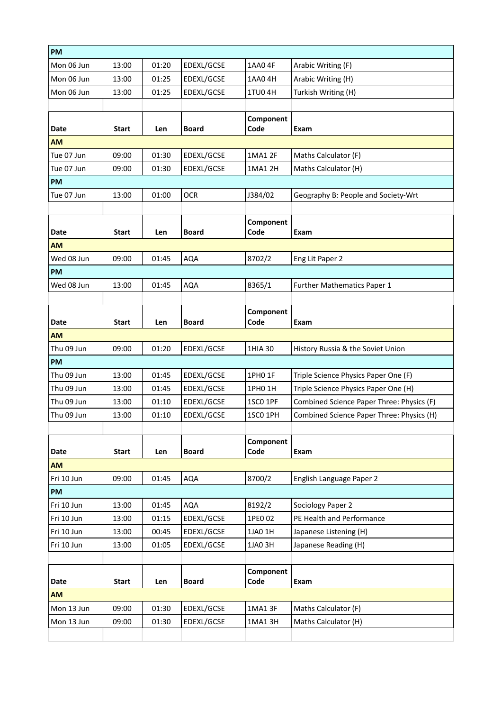| PM          |              |       |              |                   |                                           |
|-------------|--------------|-------|--------------|-------------------|-------------------------------------------|
| Mon 06 Jun  | 13:00        | 01:20 | EDEXL/GCSE   | 1AA0 4F           | Arabic Writing (F)                        |
| Mon 06 Jun  | 13:00        | 01:25 | EDEXL/GCSE   | 1AA0 4H           | Arabic Writing (H)                        |
| Mon 06 Jun  | 13:00        | 01:25 | EDEXL/GCSE   | <b>1TU04H</b>     | Turkish Writing (H)                       |
|             |              |       |              |                   |                                           |
|             |              |       |              | Component         |                                           |
| Date        | Start        | Len   | <b>Board</b> | Code              | Exam                                      |
| <b>AM</b>   |              |       |              |                   |                                           |
| Tue 07 Jun  | 09:00        | 01:30 | EDEXL/GCSE   | 1MA1 2F           | Maths Calculator (F)                      |
| Tue 07 Jun  | 09:00        | 01:30 | EDEXL/GCSE   | 1MA1 2H           | Maths Calculator (H)                      |
| <b>PM</b>   |              |       |              |                   |                                           |
| Tue 07 Jun  | 13:00        | 01:00 | <b>OCR</b>   | J384/02           | Geography B: People and Society-Wrt       |
|             |              |       |              |                   |                                           |
| Date        | <b>Start</b> | Len   | <b>Board</b> | Component<br>Code | Exam                                      |
| AM          |              |       |              |                   |                                           |
| Wed 08 Jun  | 09:00        | 01:45 | <b>AQA</b>   | 8702/2            | Eng Lit Paper 2                           |
| <b>PM</b>   |              |       |              |                   |                                           |
| Wed 08 Jun  | 13:00        | 01:45 | <b>AQA</b>   | 8365/1            | Further Mathematics Paper 1               |
|             |              |       |              |                   |                                           |
|             |              |       |              | Component         |                                           |
| <b>Date</b> | Start        | Len   | <b>Board</b> | Code              | Exam                                      |
| AM          |              |       |              |                   |                                           |
| Thu 09 Jun  | 09:00        | 01:20 | EDEXL/GCSE   | 1HIA 30           | History Russia & the Soviet Union         |
| PM          |              |       |              |                   |                                           |
| Thu 09 Jun  | 13:00        | 01:45 | EDEXL/GCSE   | 1PH0 1F           | Triple Science Physics Paper One (F)      |
| Thu 09 Jun  | 13:00        | 01:45 | EDEXL/GCSE   | 1PH0 1H           | Triple Science Physics Paper One (H)      |
| Thu 09 Jun  | 13:00        | 01:10 | EDEXL/GCSE   | 1SCO 1PF          | Combined Science Paper Three: Physics (F) |
| Thu 09 Jun  | 13:00        | 01:10 | EDEXL/GCSE   | 1SCO 1PH          | Combined Science Paper Three: Physics (H) |
|             |              |       |              |                   |                                           |
|             |              |       |              | Component         |                                           |
| <b>Date</b> | <b>Start</b> | Len   | <b>Board</b> | Code              | Exam                                      |
| <b>AM</b>   |              |       |              |                   |                                           |
| Fri 10 Jun  | 09:00        | 01:45 | <b>AQA</b>   | 8700/2            | English Language Paper 2                  |
| PM          |              |       |              |                   |                                           |
| Fri 10 Jun  | 13:00        | 01:45 | <b>AQA</b>   | 8192/2            | Sociology Paper 2                         |
| Fri 10 Jun  | 13:00        | 01:15 | EDEXL/GCSE   | 1PE0 02           | PE Health and Performance                 |
| Fri 10 Jun  | 13:00        | 00:45 | EDEXL/GCSE   | 1JA0 1H           | Japanese Listening (H)                    |
| Fri 10 Jun  | 13:00        | 01:05 | EDEXL/GCSE   | 1JA0 3H           | Japanese Reading (H)                      |
|             |              |       |              |                   |                                           |
| <b>Date</b> | <b>Start</b> | Len   | <b>Board</b> | Component<br>Code | Exam                                      |
| <b>AM</b>   |              |       |              |                   |                                           |
| Mon 13 Jun  | 09:00        | 01:30 | EDEXL/GCSE   | 1MA1 3F           | Maths Calculator (F)                      |
| Mon 13 Jun  | 09:00        | 01:30 | EDEXL/GCSE   | 1MA1 3H           | Maths Calculator (H)                      |
|             |              |       |              |                   |                                           |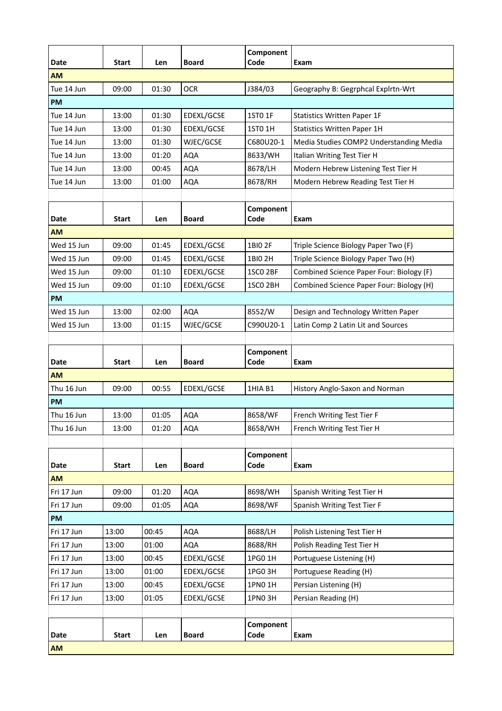| <b>Date</b>       | <b>Start</b> | Len   | <b>Board</b> | Component<br>Code   | Exam                                     |
|-------------------|--------------|-------|--------------|---------------------|------------------------------------------|
| <b>AM</b>         |              |       |              |                     |                                          |
| Tue 14 Jun        | 09:00        | 01:30 | <b>OCR</b>   | J384/03             | Geography B: Gegrphcal Explrtn-Wrt       |
| <b>PM</b>         |              |       |              |                     |                                          |
| Tue 14 Jun        | 13:00        | 01:30 | EDEXL/GCSE   | 1ST0 1F             | <b>Statistics Written Paper 1F</b>       |
| Tue 14 Jun        | 13:00        | 01:30 | EDEXL/GCSE   | <b>1ST0 1H</b>      | <b>Statistics Written Paper 1H</b>       |
| Tue 14 Jun        | 13:00        | 01:30 | WJEC/GCSE    | C680U20-1           | Media Studies COMP2 Understanding Media  |
| Tue 14 Jun        | 13:00        | 01:20 | <b>AQA</b>   | 8633/WH             | Italian Writing Test Tier H              |
| Tue 14 Jun        | 13:00        | 00:45 | <b>AQA</b>   | 8678/LH             | Modern Hebrew Listening Test Tier H      |
| Tue 14 Jun        | 13:00        | 01:00 | <b>AQA</b>   | 8678/RH             | Modern Hebrew Reading Test Tier H        |
|                   |              |       |              |                     |                                          |
| Date              | <b>Start</b> | Len   | <b>Board</b> | Component<br>Code   | Exam                                     |
| <b>AM</b>         |              |       |              |                     |                                          |
| Wed 15 Jun        | 09:00        | 01:45 | EDEXL/GCSE   | 1BI0 2F             | Triple Science Biology Paper Two (F)     |
| Wed 15 Jun        | 09:00        | 01:45 | EDEXL/GCSE   | 1BI0 2H             | Triple Science Biology Paper Two (H)     |
| Wed 15 Jun        | 09:00        | 01:10 | EDEXL/GCSE   | 1SCO <sub>2BF</sub> | Combined Science Paper Four: Biology (F) |
| Wed 15 Jun        | 09:00        | 01:10 | EDEXL/GCSE   | 1SCO <sub>2BH</sub> | Combined Science Paper Four: Biology (H) |
| PM                |              |       |              |                     |                                          |
| Wed 15 Jun        | 13:00        | 02:00 | <b>AQA</b>   | 8552/W              | Design and Technology Written Paper      |
| Wed 15 Jun        | 13:00        | 01:15 | WJEC/GCSE    | C990U20-1           | Latin Comp 2 Latin Lit and Sources       |
|                   |              |       |              |                     |                                          |
|                   | <b>Start</b> |       | <b>Board</b> | Component<br>Code   | Exam                                     |
| Date<br><b>AM</b> |              | Len   |              |                     |                                          |
| Thu 16 Jun        | 09:00        | 00:55 | EDEXL/GCSE   | 1HIA B1             | History Anglo-Saxon and Norman           |
| <b>PM</b>         |              |       |              |                     |                                          |
| Thu 16 Jun        | 13:00        | 01:05 | <b>AQA</b>   | 8658/WF             | French Writing Test Tier F               |
| Thu 16 Jun        | 13:00        | 01:20 | <b>AQA</b>   | 8658/WH             | French Writing Test Tier H               |
|                   |              |       |              |                     |                                          |
|                   |              |       |              | Component           |                                          |
| Date              | <b>Start</b> | Len   | <b>Board</b> | Code                | Exam                                     |
| <b>AM</b>         |              |       |              |                     |                                          |
| Fri 17 Jun        | 09:00        | 01:20 | AQA          | 8698/WH             | Spanish Writing Test Tier H              |
| Fri 17 Jun        | 09:00        | 01:05 | AQA          | 8698/WF             | Spanish Writing Test Tier F              |
| PM                |              |       |              |                     |                                          |
| Fri 17 Jun        | 13:00        | 00:45 | <b>AQA</b>   | 8688/LH             | Polish Listening Test Tier H             |
| Fri 17 Jun        | 13:00        | 01:00 | <b>AQA</b>   | 8688/RH             | Polish Reading Test Tier H               |
| Fri 17 Jun        | 13:00        | 00:45 | EDEXL/GCSE   | 1PG0 1H             | Portuguese Listening (H)                 |
| Fri 17 Jun        | 13:00        | 01:00 | EDEXL/GCSE   | 1PG0 3H             | Portuguese Reading (H)                   |
| Fri 17 Jun        | 13:00        | 00:45 | EDEXL/GCSE   | 1PN0 1H             | Persian Listening (H)                    |
| Fri 17 Jun        | 13:00        | 01:05 | EDEXL/GCSE   | 1PN0 3H             | Persian Reading (H)                      |
|                   |              |       |              |                     |                                          |
|                   |              |       |              | Component           |                                          |
| Date              | <b>Start</b> | Len   | <b>Board</b> | Code                | Exam                                     |
| AM                |              |       |              |                     |                                          |